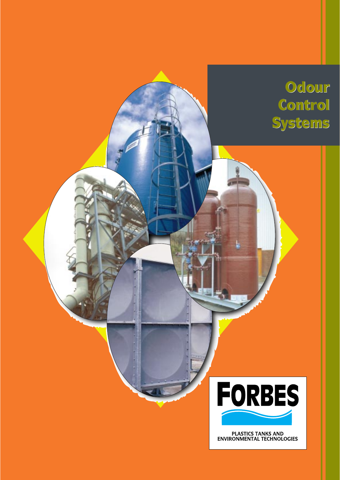



PLASTICS TANKS AND<br>ENVIRONMENTAL TECHNOLOGIES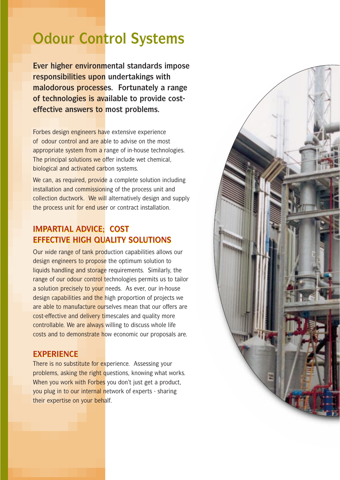# **Odour Control Systems**

**Ever higher environmental standards impose responsibilities upon undertakings with malodorous processes. Fortunately a range of technologies is available to provide costeffective answers to most problems.**

Forbes design engineers have extensive experience of odour control and are able to advise on the most appropriate system from a range of in-house technologies. The principal solutions we offer include wet chemical, biological and activated carbon systems.

We can, as required, provide a complete solution including installation and commissioning of the process unit and collection ductwork. We will alternatively design and supply the process unit for end user or contract installation.

#### **IMPARTIAL ADVICE; COST IMPARTIAL ADVICE; COST EFFECTIVE HIGH QUALITY SOLUTIONS EFFECTIVE HIGH QUALITY SOLUTIONS**

Our wide range of tank production capabilities allows our design engineers to propose the optimum solution to liquids handling and storage requirements. Similarly, the range of our odour control technologies permits us to tailor a solution precisely to your needs. As ever, our in-house design capabilities and the high proportion of projects we are able to manufacture ourselves mean that our offers are cost-effective and delivery timescales and quality more controllable. We are always willing to discuss whole life costs and to demonstrate how economic our proposals are.

#### **EXPERIENCE EXPERIENCE**

There is no substitute for experience. Assessing your problems, asking the right questions, knowing what works. When you work with Forbes you don't just get a product, you plug in to our internal network of experts - sharing their expertise on your behalf.

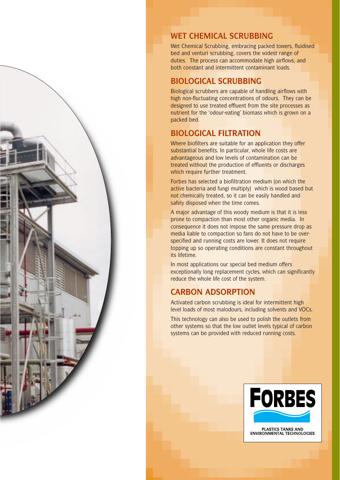

#### **WET CHEMICAL SCRUBBING WET CHEMICAL SCRUBBING**

Wet Chemical Scrubbing, embracing packed towers, fluidised bed and venturi scrubbing, covers the widest range of duties. The process can accommodate high airflows, and both constant and intermittent contaminant loads.

#### **BIOLOGICAL SCRUBBING BIOLOGICAL SCRUBBING**

Biological scrubbers are capable of handling airflows with high non-fluctuating concentrations of odours. They can be designed to use treated effluent from the site processes as nutrient for the 'odour-eating' biomass which is grown on a packed bed.

# **BIOLOGICAL FILTRATION BIOLOGICAL FILTRATION**

Where biofilters are suitable for an application they offer substantial benefits. In particular, whole life costs are advantageous and low levels of contamination can be treated without the production of effluents or discharges which require further treatment.

Forbes has selected a biofiltration medium (on which the active bacteria and fungi multiply) which is wood based but not chemically treated, so it can be easily handled and safely disposed when the time comes.

A major advantage of this woody medium is that it is less prone to compaction than most other organic media. In consequence it does not impose the same pressure drop as media liable to compaction so fans do not have to be overspecified and running costs are lower. It does not require topping up so operating conditions are constant throughout its lifetime.

In most applications our special bed medium offers exceptionally long replacement cycles, which can significantly reduce the whole life cost of the system.

# **CARBON ADSORPTION ADSORPTION**

Activated carbon scrubbing is ideal for intermittent high level loads of most malodours, including solvents and VOCs.

This technology can also be used to polish the outlets from other systems so that the low outlet levels typical of carbon systems can be provided with reduced running costs.



PLASTICS TANKS AND<br>ENVIRONMENTAL TECHNOLOGIES